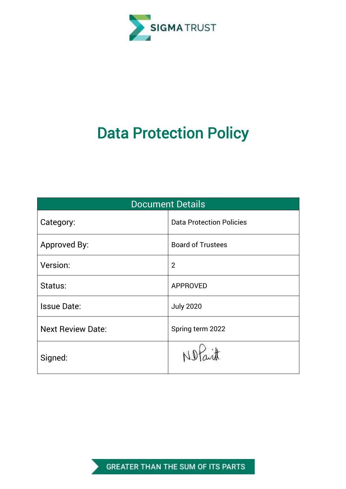

# Data Protection Policy

| <b>Document Details</b>  |                                 |  |  |
|--------------------------|---------------------------------|--|--|
| Category:                | <b>Data Protection Policies</b> |  |  |
| Approved By:             | <b>Board of Trustees</b>        |  |  |
| Version:                 | $\overline{2}$                  |  |  |
| Status:                  | <b>APPROVED</b>                 |  |  |
| <b>Issue Date:</b>       | <b>July 2020</b>                |  |  |
| <b>Next Review Date:</b> | Spring term 2022                |  |  |
| Signed:                  |                                 |  |  |

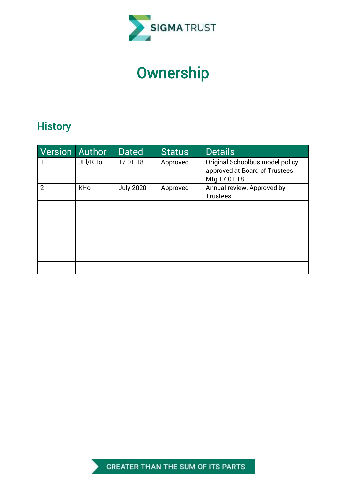

# **Ownership**

# **History**

| Version Author |            | <b>Dated</b>     | <b>Status</b> | <b>Details</b>                                                   |
|----------------|------------|------------------|---------------|------------------------------------------------------------------|
|                | JEI/KHo    | 17.01.18         | Approved      | Original Schoolbus model policy<br>approved at Board of Trustees |
|                |            |                  |               | Mtg 17.01.18                                                     |
| $\overline{2}$ | <b>KHo</b> | <b>July 2020</b> | Approved      | Annual review. Approved by                                       |
|                |            |                  |               | Trustees.                                                        |
|                |            |                  |               |                                                                  |
|                |            |                  |               |                                                                  |
|                |            |                  |               |                                                                  |
|                |            |                  |               |                                                                  |
|                |            |                  |               |                                                                  |
|                |            |                  |               |                                                                  |
|                |            |                  |               |                                                                  |
|                |            |                  |               |                                                                  |

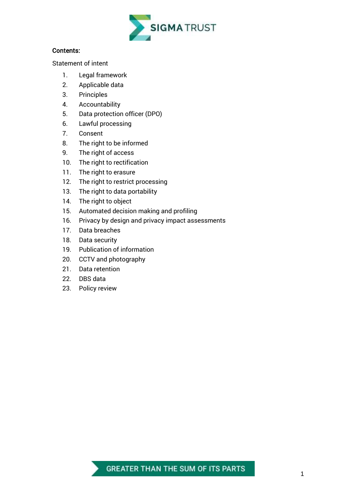

#### Contents:

[Statement of intent](#page-3-0)

- 1. [Legal framework](#page-4-0)
- 2. [Applicable data](#page-4-1)
- 3. [Principles](#page-5-0)
- 4. [Accountability](#page-5-1)
- 5. [Data protection officer \(DPO\)](#page-6-0)
- 6. [Lawful processing](#page-7-0)
- 7. [Consent](#page-8-0)
- 8. [The right to be informed](#page-10-0)
- 9. [The right of access](#page-11-0)
- 10. [The right to rectification](#page-12-0)
- 11. [The right to erasure](#page-12-1)
- 12. [The right to restrict processing](#page-13-0)
- 13. [The right to data portability](#page-14-0)
- 14. [The right to object](#page-15-0)
- 15. Automated decision making and profiling
- 16. [Privacy by design and privacy impact assessments](#page-17-0)
- 17. [Data breaches](#page-17-1)
- 18. [Data security](#page-19-0)
- 19. [Publication of information](#page-20-0)
- 20. [CCTV and photography](#page-21-0)
- 21. [Data retention](#page-21-1)
- 22. [DBS data](#page-21-2)
- 23. [Policy review](#page-22-0)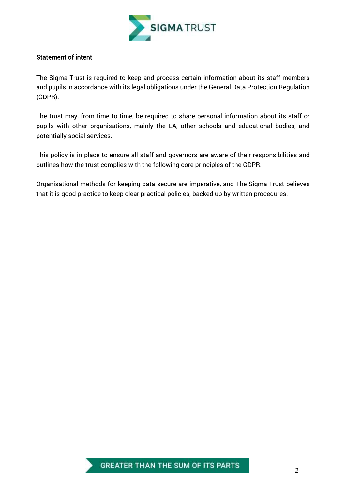

#### <span id="page-3-0"></span>Statement of intent

The Sigma Trust is required to keep and process certain information about its staff members and pupils in accordance with its legal obligations under the General Data Protection Regulation (GDPR).

The trust may, from time to time, be required to share personal information about its staff or pupils with other organisations, mainly the LA, other schools and educational bodies, and potentially social services.

This policy is in place to ensure all staff and governors are aware of their responsibilities and outlines how the trust complies with the following core principles of the GDPR.

Organisational methods for keeping data secure are imperative, and The Sigma Trust believes that it is good practice to keep clear practical policies, backed up by written procedures.

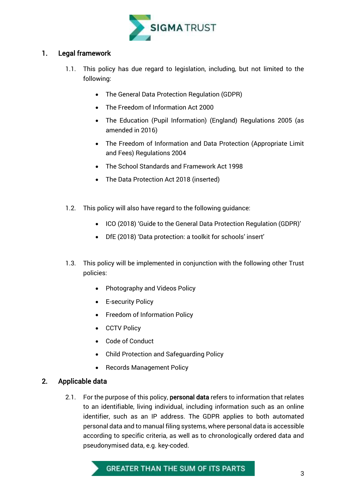

# <span id="page-4-0"></span>1. Legal framework

- 1.1. This policy has due regard to legislation, including, but not limited to the following:
	- The General Data Protection Regulation (GDPR)
	- The Freedom of Information Act 2000
	- The Education (Pupil Information) (England) Regulations 2005 (as amended in 2016)
	- The Freedom of Information and Data Protection (Appropriate Limit and Fees) Regulations 2004
	- The School Standards and Framework Act 1998
	- The Data Protection Act 2018 (inserted)
- 1.2. This policy will also have regard to the following guidance:
	- ICO (2018) 'Guide to the General Data Protection Regulation (GDPR)'
	- DfE (2018) 'Data protection: a toolkit for schools' insert'
- 1.3. This policy will be implemented in conjunction with the following other Trust policies:
	- Photography and Videos Policy
	- E-security Policy
	- Freedom of Information Policy
	- CCTV Policy
	- Code of Conduct
	- Child Protection and Safeguarding Policy
	- Records Management Policy

# <span id="page-4-1"></span>2. Applicable data

2.1. For the purpose of this policy, **personal data** refers to information that relates to an identifiable, living individual, including information such as an online identifier, such as an IP address. The GDPR applies to both automated personal data and to manual filing systems, where personal data is accessible according to specific criteria, as well as to chronologically ordered data and pseudonymised data, e.g. key-coded.

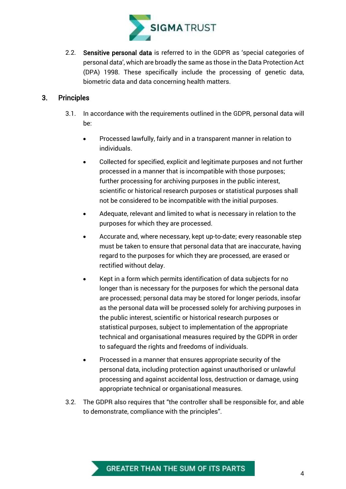

2.2. Sensitive personal data is referred to in the GDPR as 'special categories of personal data', which are broadly the same as those in the Data Protection Act (DPA) 1998. These specifically include the processing of genetic data, biometric data and data concerning health matters.

# <span id="page-5-0"></span>3. Principles

- 3.1. In accordance with the requirements outlined in the GDPR, personal data will be:
	- Processed lawfully, fairly and in a transparent manner in relation to individuals.
	- Collected for specified, explicit and legitimate purposes and not further processed in a manner that is incompatible with those purposes; further processing for archiving purposes in the public interest, scientific or historical research purposes or statistical purposes shall not be considered to be incompatible with the initial purposes.
	- Adequate, relevant and limited to what is necessary in relation to the purposes for which they are processed.
	- Accurate and, where necessary, kept up-to-date; every reasonable step must be taken to ensure that personal data that are inaccurate, having regard to the purposes for which they are processed, are erased or rectified without delay.
	- Kept in a form which permits identification of data subjects for no longer than is necessary for the purposes for which the personal data are processed; personal data may be stored for longer periods, insofar as the personal data will be processed solely for archiving purposes in the public interest, scientific or historical research purposes or statistical purposes, subject to implementation of the appropriate technical and organisational measures required by the GDPR in order to safeguard the rights and freedoms of individuals.
	- Processed in a manner that ensures appropriate security of the personal data, including protection against unauthorised or unlawful processing and against accidental loss, destruction or damage, using appropriate technical or organisational measures.
- <span id="page-5-1"></span>3.2. The GDPR also requires that "the controller shall be responsible for, and able to demonstrate, compliance with the principles".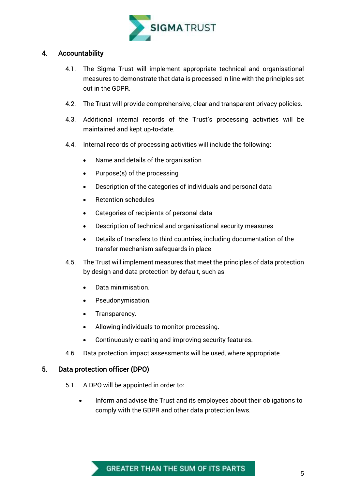

# 4. Accountability

- 4.1. The Sigma Trust will implement appropriate technical and organisational measures to demonstrate that data is processed in line with the principles set out in the GDPR.
- 4.2. The Trust will provide comprehensive, clear and transparent privacy policies.
- 4.3. Additional internal records of the Trust's processing activities will be maintained and kept up-to-date.
- 4.4. Internal records of processing activities will include the following:
	- Name and details of the organisation
	- $\bullet$  Purpose(s) of the processing
	- Description of the categories of individuals and personal data
	- Retention schedules
	- Categories of recipients of personal data
	- Description of technical and organisational security measures
	- Details of transfers to third countries, including documentation of the transfer mechanism safeguards in place
- 4.5. The Trust will implement measures that meet the principles of data protection by design and data protection by default, such as:
	- Data minimisation.
	- Pseudonymisation.
	- Transparency.
	- Allowing individuals to monitor processing.
	- Continuously creating and improving security features.
- 4.6. Data protection impact assessments will be used, where appropriate.

#### <span id="page-6-0"></span>5. Data protection officer (DPO)

- 5.1. A DPO will be appointed in order to:
	- Inform and advise the Trust and its employees about their obligations to comply with the GDPR and other data protection laws.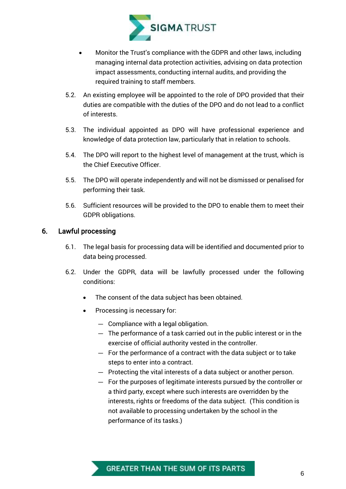

- Monitor the Trust's compliance with the GDPR and other laws, including managing internal data protection activities, advising on data protection impact assessments, conducting internal audits, and providing the required training to staff members.
- 5.2. An existing employee will be appointed to the role of DPO provided that their duties are compatible with the duties of the DPO and do not lead to a conflict of interests.
- 5.3. The individual appointed as DPO will have professional experience and knowledge of data protection law, particularly that in relation to schools.
- 5.4. The DPO will report to the highest level of management at the trust, which is the Chief Executive Officer.
- 5.5. The DPO will operate independently and will not be dismissed or penalised for performing their task.
- 5.6. Sufficient resources will be provided to the DPO to enable them to meet their GDPR obligations.

# <span id="page-7-0"></span>6. Lawful processing

- 6.1. The legal basis for processing data will be identified and documented prior to data being processed.
- 6.2. Under the GDPR, data will be lawfully processed under the following conditions:
	- The consent of the data subject has been obtained.
	- Processing is necessary for:
		- Compliance with a legal obligation.
		- The performance of a task carried out in the public interest or in the exercise of official authority vested in the controller.
		- For the performance of a contract with the data subject or to take steps to enter into a contract.
		- Protecting the vital interests of a data subject or another person.
		- For the purposes of legitimate interests pursued by the controller or a third party, except where such interests are overridden by the interests, rights or freedoms of the data subject. (This condition is not available to processing undertaken by the school in the performance of its tasks.)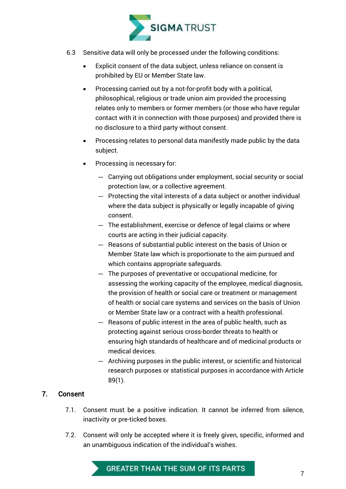

- 6.3 Sensitive data will only be processed under the following conditions:
	- Explicit consent of the data subject, unless reliance on consent is prohibited by EU or Member State law.
	- Processing carried out by a not-for-profit body with a political, philosophical, religious or trade union aim provided the processing relates only to members or former members (or those who have regular contact with it in connection with those purposes) and provided there is no disclosure to a third party without consent.
	- Processing relates to personal data manifestly made public by the data subject.
	- Processing is necessary for:
		- Carrying out obligations under employment, social security or social protection law, or a collective agreement.
		- Protecting the vital interests of a data subject or another individual where the data subject is physically or legally incapable of giving consent.
		- The establishment, exercise or defence of legal claims or where courts are acting in their judicial capacity.
		- Reasons of substantial public interest on the basis of Union or Member State law which is proportionate to the aim pursued and which contains appropriate safeguards.
		- The purposes of preventative or occupational medicine, for assessing the working capacity of the employee, medical diagnosis, the provision of health or social care or treatment or management of health or social care systems and services on the basis of Union or Member State law or a contract with a health professional.
		- Reasons of public interest in the area of public health, such as protecting against serious cross-border threats to health or ensuring high standards of healthcare and of medicinal products or medical devices.
		- Archiving purposes in the public interest, or scientific and historical research purposes or statistical purposes in accordance with Article 89(1).

# <span id="page-8-0"></span>7. Consent

- 7.1. Consent must be a positive indication. It cannot be inferred from silence, inactivity or pre-ticked boxes.
- 7.2. Consent will only be accepted where it is freely given, specific, informed and an unambiguous indication of the individual's wishes.

# GREATER THAN THE SUM OF ITS PARTS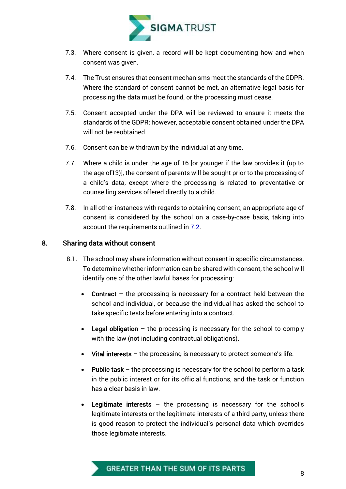

- 7.3. Where consent is given, a record will be kept documenting how and when consent was given.
- 7.4. The Trust ensures that consent mechanisms meet the standards of the GDPR. Where the standard of consent cannot be met, an alternative legal basis for processing the data must be found, or the processing must cease.
- 7.5. Consent accepted under the DPA will be reviewed to ensure it meets the standards of the GDPR; however, acceptable consent obtained under the DPA will not be reobtained.
- 7.6. Consent can be withdrawn by the individual at any time.
- 7.7. Where a child is under the age of 16 [or younger if the law provides it (up to the age of13)], the consent of parents will be sought prior to the processing of a child's data, except where the processing is related to preventative or counselling services offered directly to a child.
- 7.8. In all other instances with regards to obtaining consent, an appropriate age of consent is considered by the school on a case-by-case basis, taking into account the requirements outlined in 7.2.

# 8. Sharing data without consent

- 8.1. The school may share information without consent in specific circumstances. To determine whether information can be shared with consent, the school will identify one of the other lawful bases for processing:
	- Contract the processing is necessary for a contract held between the school and individual, or because the individual has asked the school to take specific tests before entering into a contract.
	- **•** Legal obligation  $-$  the processing is necessary for the school to comply with the law (not including contractual obligations).
	- Vital interests the processing is necessary to protect someone's life.
	- Public task the processing is necessary for the school to perform a task in the public interest or for its official functions, and the task or function has a clear basis in law.
	- Legitimate interests the processing is necessary for the school's legitimate interests or the legitimate interests of a third party, unless there is good reason to protect the individual's personal data which overrides those legitimate interests.

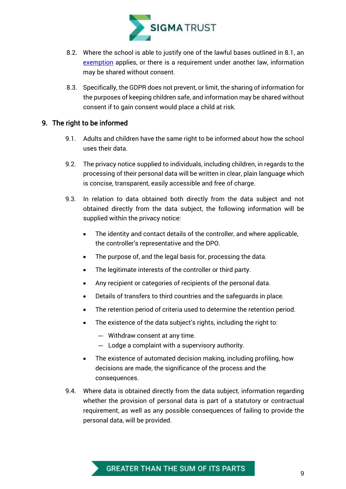

- 8.2. Where the school is able to justify one of the lawful bases outlined in 8.1, an exemption applies, or there is a requirement under another law, information may be shared without consent.
- 8.3. Specifically, the GDPR does not prevent, or limit, the sharing of information for the purposes of keeping children safe, and information may be shared without consent if to gain consent would place a child at risk.

# <span id="page-10-0"></span>9. The right to be informed

- 9.1. Adults and children have the same right to be informed about how the school uses their data.
- 9.2. The privacy notice supplied to individuals, including children, in regards to the processing of their personal data will be written in clear, plain language which is concise, transparent, easily accessible and free of charge.
- 9.3. In relation to data obtained both directly from the data subject and not obtained directly from the data subject, the following information will be supplied within the privacy notice:
	- The identity and contact details of the controller, and where applicable, the controller's representative and the DPO.
	- The purpose of, and the legal basis for, processing the data.
	- The legitimate interests of the controller or third party.
	- Any recipient or categories of recipients of the personal data.
	- Details of transfers to third countries and the safeguards in place.
	- The retention period of criteria used to determine the retention period.
	- The existence of the data subject's rights, including the right to:
		- Withdraw consent at any time.
		- Lodge a complaint with a supervisory authority.
	- The existence of automated decision making, including profiling, how decisions are made, the significance of the process and the consequences.
- 9.4. Where data is obtained directly from the data subject, information regarding whether the provision of personal data is part of a statutory or contractual requirement, as well as any possible consequences of failing to provide the personal data, will be provided.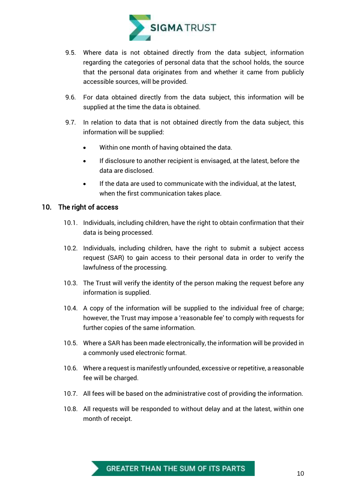

- 9.5. Where data is not obtained directly from the data subject, information regarding the categories of personal data that the school holds, the source that the personal data originates from and whether it came from publicly accessible sources, will be provided.
- 9.6. For data obtained directly from the data subject, this information will be supplied at the time the data is obtained.
- 9.7. In relation to data that is not obtained directly from the data subject, this information will be supplied:
	- Within one month of having obtained the data.
	- If disclosure to another recipient is envisaged, at the latest, before the data are disclosed.
	- If the data are used to communicate with the individual, at the latest, when the first communication takes place.

#### <span id="page-11-0"></span>10. The right of access

- 10.1. Individuals, including children, have the right to obtain confirmation that their data is being processed.
- 10.2. Individuals, including children, have the right to submit a subject access request (SAR) to gain access to their personal data in order to verify the lawfulness of the processing.
- 10.3. The Trust will verify the identity of the person making the request before any information is supplied.
- 10.4. A copy of the information will be supplied to the individual free of charge; however, the Trust may impose a 'reasonable fee' to comply with requests for further copies of the same information.
- 10.5. Where a SAR has been made electronically, the information will be provided in a commonly used electronic format.
- 10.6. Where a request is manifestly unfounded, excessive or repetitive, a reasonable fee will be charged.
- 10.7. All fees will be based on the administrative cost of providing the information.
- 10.8. All requests will be responded to without delay and at the latest, within one month of receipt.

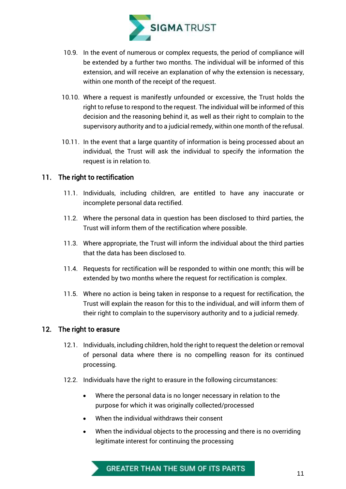

- 10.9. In the event of numerous or complex requests, the period of compliance will be extended by a further two months. The individual will be informed of this extension, and will receive an explanation of why the extension is necessary, within one month of the receipt of the request.
- 10.10. Where a request is manifestly unfounded or excessive, the Trust holds the right to refuse to respond to the request. The individual will be informed of this decision and the reasoning behind it, as well as their right to complain to the supervisory authority and to a judicial remedy, within one month of the refusal.
- 10.11. In the event that a large quantity of information is being processed about an individual, the Trust will ask the individual to specify the information the request is in relation to.

# <span id="page-12-0"></span>11. The right to rectification

- 11.1. Individuals, including children, are entitled to have any inaccurate or incomplete personal data rectified.
- 11.2. Where the personal data in question has been disclosed to third parties, the Trust will inform them of the rectification where possible.
- 11.3. Where appropriate, the Trust will inform the individual about the third parties that the data has been disclosed to.
- 11.4. Requests for rectification will be responded to within one month; this will be extended by two months where the request for rectification is complex.
- 11.5. Where no action is being taken in response to a request for rectification, the Trust will explain the reason for this to the individual, and will inform them of their right to complain to the supervisory authority and to a judicial remedy.

#### <span id="page-12-1"></span>12. The right to erasure

- 12.1. Individuals, including children, hold the right to request the deletion or removal of personal data where there is no compelling reason for its continued processing.
- 12.2. Individuals have the right to erasure in the following circumstances:
	- Where the personal data is no longer necessary in relation to the purpose for which it was originally collected/processed
	- When the individual withdraws their consent
	- When the individual objects to the processing and there is no overriding legitimate interest for continuing the processing

# GREATER THAN THE SUM OF ITS PARTS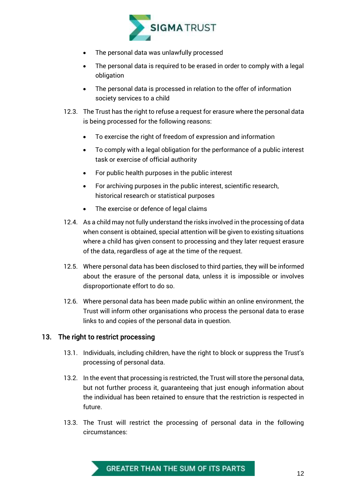

- The personal data was unlawfully processed
- The personal data is required to be erased in order to comply with a legal obligation
- The personal data is processed in relation to the offer of information society services to a child
- 12.3. The Trust has the right to refuse a request for erasure where the personal data is being processed for the following reasons:
	- To exercise the right of freedom of expression and information
	- To comply with a legal obligation for the performance of a public interest task or exercise of official authority
	- For public health purposes in the public interest
	- For archiving purposes in the public interest, scientific research, historical research or statistical purposes
	- The exercise or defence of legal claims
- 12.4. As a child may not fully understand the risks involved in the processing of data when consent is obtained, special attention will be given to existing situations where a child has given consent to processing and they later request erasure of the data, regardless of age at the time of the request.
- 12.5. Where personal data has been disclosed to third parties, they will be informed about the erasure of the personal data, unless it is impossible or involves disproportionate effort to do so.
- 12.6. Where personal data has been made public within an online environment, the Trust will inform other organisations who process the personal data to erase links to and copies of the personal data in question.

# <span id="page-13-0"></span>13. The right to restrict processing

- 13.1. Individuals, including children, have the right to block or suppress the Trust's processing of personal data.
- 13.2. In the event that processing is restricted, the Trust will store the personal data, but not further process it, guaranteeing that just enough information about the individual has been retained to ensure that the restriction is respected in future.
- 13.3. The Trust will restrict the processing of personal data in the following circumstances:

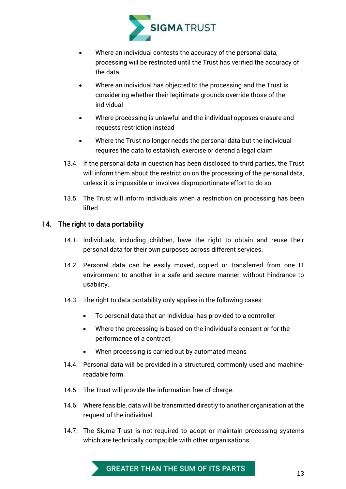

- Where an individual contests the accuracy of the personal data, processing will be restricted until the Trust has verified the accuracy of the data
- Where an individual has objected to the processing and the Trust is considering whether their legitimate grounds override those of the individual
- Where processing is unlawful and the individual opposes erasure and requests restriction instead
- Where the Trust no longer needs the personal data but the individual requires the data to establish, exercise or defend a legal claim
- 13.4. If the personal data in question has been disclosed to third parties, the Trust will inform them about the restriction on the processing of the personal data, unless it is impossible or involves disproportionate effort to do so.
- 13.5. The Trust will inform individuals when a restriction on processing has been lifted.

# <span id="page-14-0"></span>14. The right to data portability

- 14.1. Individuals, including children, have the right to obtain and reuse their personal data for their own purposes across different services.
- 14.2. Personal data can be easily moved, copied or transferred from one IT environment to another in a safe and secure manner, without hindrance to usability.
- 14.3. The right to data portability only applies in the following cases:
	- To personal data that an individual has provided to a controller
	- Where the processing is based on the individual's consent or for the performance of a contract
	- When processing is carried out by automated means
- 14.4. Personal data will be provided in a structured, commonly used and machinereadable form.
- 14.5. The Trust will provide the information free of charge.
- 14.6. Where feasible, data will be transmitted directly to another organisation at the request of the individual.
- 14.7. The Sigma Trust is not required to adopt or maintain processing systems which are technically compatible with other organisations.

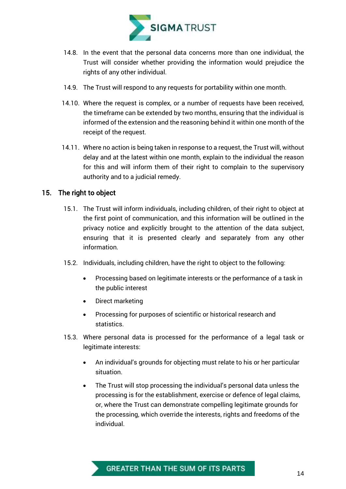

- 14.8. In the event that the personal data concerns more than one individual, the Trust will consider whether providing the information would prejudice the rights of any other individual.
- 14.9. The Trust will respond to any requests for portability within one month.
- 14.10. Where the request is complex, or a number of requests have been received, the timeframe can be extended by two months, ensuring that the individual is informed of the extension and the reasoning behind it within one month of the receipt of the request.
- 14.11. Where no action is being taken in response to a request, the Trust will, without delay and at the latest within one month, explain to the individual the reason for this and will inform them of their right to complain to the supervisory authority and to a judicial remedy.

# <span id="page-15-0"></span>15. The right to object

- 15.1. The Trust will inform individuals, including children, of their right to object at the first point of communication, and this information will be outlined in the privacy notice and explicitly brought to the attention of the data subject, ensuring that it is presented clearly and separately from any other information.
- 15.2. Individuals, including children, have the right to object to the following:
	- Processing based on legitimate interests or the performance of a task in the public interest
	- Direct marketing
	- Processing for purposes of scientific or historical research and statistics.
- 15.3. Where personal data is processed for the performance of a legal task or legitimate interests:
	- An individual's grounds for objecting must relate to his or her particular situation.
	- The Trust will stop processing the individual's personal data unless the processing is for the establishment, exercise or defence of legal claims, or, where the Trust can demonstrate compelling legitimate grounds for the processing, which override the interests, rights and freedoms of the individual.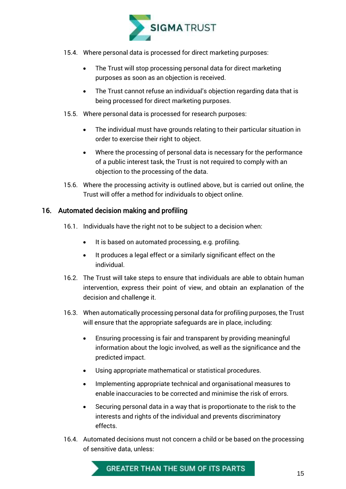

- 15.4. Where personal data is processed for direct marketing purposes:
	- The Trust will stop processing personal data for direct marketing purposes as soon as an objection is received.
	- The Trust cannot refuse an individual's objection regarding data that is being processed for direct marketing purposes.
- 15.5. Where personal data is processed for research purposes:
	- The individual must have grounds relating to their particular situation in order to exercise their right to object.
	- Where the processing of personal data is necessary for the performance of a public interest task, the Trust is not required to comply with an objection to the processing of the data.
- 15.6. Where the processing activity is outlined above, but is carried out online, the Trust will offer a method for individuals to object online.

# 16. Automated decision making and profiling

- 16.1. Individuals have the right not to be subject to a decision when:
	- It is based on automated processing, e.g. profiling.
	- It produces a legal effect or a similarly significant effect on the individual.
- 16.2. The Trust will take steps to ensure that individuals are able to obtain human intervention, express their point of view, and obtain an explanation of the decision and challenge it.
- 16.3. When automatically processing personal data for profiling purposes, the Trust will ensure that the appropriate safeguards are in place, including:
	- Ensuring processing is fair and transparent by providing meaningful information about the logic involved, as well as the significance and the predicted impact.
	- Using appropriate mathematical or statistical procedures.
	- Implementing appropriate technical and organisational measures to enable inaccuracies to be corrected and minimise the risk of errors.
	- Securing personal data in a way that is proportionate to the risk to the interests and rights of the individual and prevents discriminatory effects.
- 16.4. Automated decisions must not concern a child or be based on the processing of sensitive data, unless:

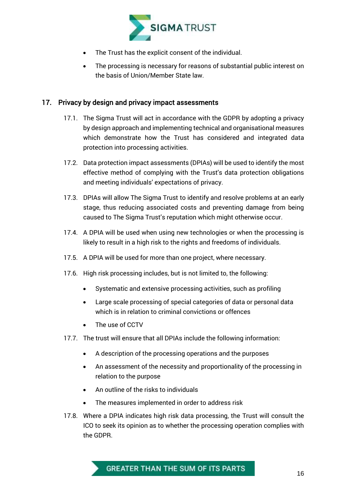

- The Trust has the explicit consent of the individual.
- The processing is necessary for reasons of substantial public interest on the basis of Union/Member State law.

#### <span id="page-17-0"></span>17. Privacy by design and privacy impact assessments

- 17.1. The Sigma Trust will act in accordance with the GDPR by adopting a privacy by design approach and implementing technical and organisational measures which demonstrate how the Trust has considered and integrated data protection into processing activities.
- 17.2. Data protection impact assessments (DPIAs) will be used to identify the most effective method of complying with the Trust's data protection obligations and meeting individuals' expectations of privacy.
- 17.3. DPIAs will allow The Sigma Trust to identify and resolve problems at an early stage, thus reducing associated costs and preventing damage from being caused to The Sigma Trust's reputation which might otherwise occur.
- 17.4. A DPIA will be used when using new technologies or when the processing is likely to result in a high risk to the rights and freedoms of individuals.
- 17.5. A DPIA will be used for more than one project, where necessary.
- 17.6. High risk processing includes, but is not limited to, the following:
	- Systematic and extensive processing activities, such as profiling
	- Large scale processing of special categories of data or personal data which is in relation to criminal convictions or offences
	- The use of CCTV
- 17.7. The trust will ensure that all DPIAs include the following information:
	- A description of the processing operations and the purposes
	- An assessment of the necessity and proportionality of the processing in relation to the purpose
	- An outline of the risks to individuals
	- The measures implemented in order to address risk
- <span id="page-17-1"></span>17.8. Where a DPIA indicates high risk data processing, the Trust will consult the ICO to seek its opinion as to whether the processing operation complies with the GDPR.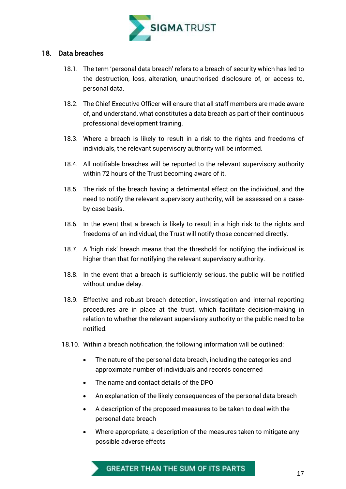

#### 18. Data breaches

- 18.1. The term 'personal data breach' refers to a breach of security which has led to the destruction, loss, alteration, unauthorised disclosure of, or access to, personal data.
- 18.2. The Chief Executive Officer will ensure that all staff members are made aware of, and understand, what constitutes a data breach as part of their continuous professional development training.
- 18.3. Where a breach is likely to result in a risk to the rights and freedoms of individuals, the relevant supervisory authority will be informed.
- 18.4. All notifiable breaches will be reported to the relevant supervisory authority within 72 hours of the Trust becoming aware of it.
- 18.5. The risk of the breach having a detrimental effect on the individual, and the need to notify the relevant supervisory authority, will be assessed on a caseby-case basis.
- 18.6. In the event that a breach is likely to result in a high risk to the rights and freedoms of an individual, the Trust will notify those concerned directly.
- 18.7. A 'high risk' breach means that the threshold for notifying the individual is higher than that for notifying the relevant supervisory authority.
- 18.8. In the event that a breach is sufficiently serious, the public will be notified without undue delay.
- 18.9. Effective and robust breach detection, investigation and internal reporting procedures are in place at the trust, which facilitate decision-making in relation to whether the relevant supervisory authority or the public need to be notified.
- 18.10. Within a breach notification, the following information will be outlined:
	- The nature of the personal data breach, including the categories and approximate number of individuals and records concerned
	- The name and contact details of the DPO
	- An explanation of the likely consequences of the personal data breach
	- A description of the proposed measures to be taken to deal with the personal data breach
	- Where appropriate, a description of the measures taken to mitigate any possible adverse effects

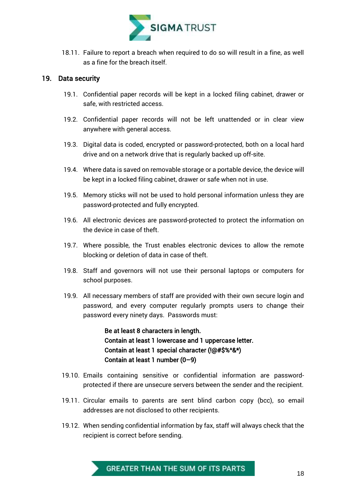<span id="page-19-0"></span>

18.11. Failure to report a breach when required to do so will result in a fine, as well as a fine for the breach itself.

#### 19. Data security

- 19.1. Confidential paper records will be kept in a locked filing cabinet, drawer or safe, with restricted access.
- 19.2. Confidential paper records will not be left unattended or in clear view anywhere with general access.
- 19.3. Digital data is coded, encrypted or password-protected, both on a local hard drive and on a network drive that is regularly backed up off-site.
- 19.4. Where data is saved on removable storage or a portable device, the device will be kept in a locked filing cabinet, drawer or safe when not in use.
- 19.5. Memory sticks will not be used to hold personal information unless they are password-protected and fully encrypted.
- 19.6. All electronic devices are password-protected to protect the information on the device in case of theft.
- 19.7. Where possible, the Trust enables electronic devices to allow the remote blocking or deletion of data in case of theft.
- 19.8. Staff and governors will not use their personal laptops or computers for school purposes.
- 19.9. All necessary members of staff are provided with their own secure login and password, and every computer regularly prompts users to change their password every ninety days. Passwords must:

Be at least 8 characters in length. Contain at least 1 lowercase and 1 uppercase letter. Contain at least 1 special character (!@#\$%^&\*) Contain at least 1 number (0–9)

- 19.10. Emails containing sensitive or confidential information are passwordprotected if there are unsecure servers between the sender and the recipient.
- 19.11. Circular emails to parents are sent blind carbon copy (bcc), so email addresses are not disclosed to other recipients.
- 19.12. When sending confidential information by fax, staff will always check that the recipient is correct before sending.

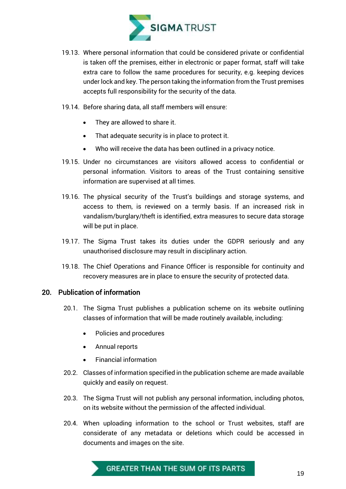

- 19.13. Where personal information that could be considered private or confidential is taken off the premises, either in electronic or paper format, staff will take extra care to follow the same procedures for security, e.g. keeping devices under lock and key. The person taking the information from the Trust premises accepts full responsibility for the security of the data.
- 19.14. Before sharing data, all staff members will ensure:
	- They are allowed to share it.
	- That adequate security is in place to protect it.
	- Who will receive the data has been outlined in a privacy notice.
- 19.15. Under no circumstances are visitors allowed access to confidential or personal information. Visitors to areas of the Trust containing sensitive information are supervised at all times.
- 19.16. The physical security of the Trust's buildings and storage systems, and access to them, is reviewed on a termly basis. If an increased risk in vandalism/burglary/theft is identified, extra measures to secure data storage will be put in place.
- 19.17. The Sigma Trust takes its duties under the GDPR seriously and any unauthorised disclosure may result in disciplinary action.
- 19.18. The Chief Operations and Finance Officer is responsible for continuity and recovery measures are in place to ensure the security of protected data.

#### <span id="page-20-0"></span>20. Publication of information

- 20.1. The Sigma Trust publishes a publication scheme on its website outlining classes of information that will be made routinely available, including:
	- Policies and procedures
	- Annual reports
	- Financial information
- 20.2. Classes of information specified in the publication scheme are made available quickly and easily on request.
- 20.3. The Sigma Trust will not publish any personal information, including photos, on its website without the permission of the affected individual.
- 20.4. When uploading information to the school or Trust websites, staff are considerate of any metadata or deletions which could be accessed in documents and images on the site.

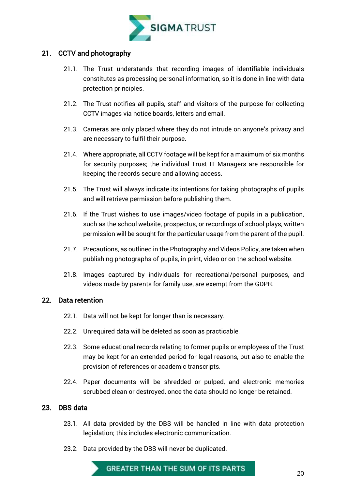

# <span id="page-21-0"></span>21. CCTV and photography

- 21.1. The Trust understands that recording images of identifiable individuals constitutes as processing personal information, so it is done in line with data protection principles.
- 21.2. The Trust notifies all pupils, staff and visitors of the purpose for collecting CCTV images via notice boards, letters and email.
- 21.3. Cameras are only placed where they do not intrude on anyone's privacy and are necessary to fulfil their purpose.
- 21.4. Where appropriate, all CCTV footage will be kept for a maximum of six months for security purposes; the individual Trust IT Managers are responsible for keeping the records secure and allowing access.
- 21.5. The Trust will always indicate its intentions for taking photographs of pupils and will retrieve permission before publishing them.
- 21.6. If the Trust wishes to use images/video footage of pupils in a publication, such as the school website, prospectus, or recordings of school plays, written permission will be sought for the particular usage from the parent of the pupil.
- 21.7. Precautions, as outlined in the Photography and Videos Policy, are taken when publishing photographs of pupils, in print, video or on the school website.
- 21.8. Images captured by individuals for recreational/personal purposes, and videos made by parents for family use, are exempt from the GDPR.

#### <span id="page-21-1"></span>22. Data retention

- 22.1. Data will not be kept for longer than is necessary.
- 22.2. Unrequired data will be deleted as soon as practicable.
- 22.3. Some educational records relating to former pupils or employees of the Trust may be kept for an extended period for legal reasons, but also to enable the provision of references or academic transcripts.
- 22.4. Paper documents will be shredded or pulped, and electronic memories scrubbed clean or destroyed, once the data should no longer be retained.

# <span id="page-21-2"></span>23. DBS data

- 23.1. All data provided by the DBS will be handled in line with data protection legislation; this includes electronic communication.
- 23.2. Data provided by the DBS will never be duplicated.